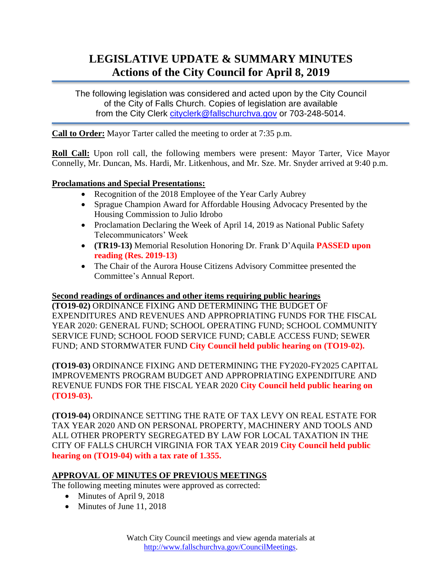## **LEGISLATIVE UPDATE & SUMMARY MINUTES Actions of the City Council for April 8, 2019**

The following legislation was considered and acted upon by the City Council of the City of Falls Church. Copies of legislation are available from the City Clerk [cityclerk@fallschurchva.gov](mailto:cityclerk@fallschurchva.gov) or 703-248-5014.

**Call to Order:** Mayor Tarter called the meeting to order at 7:35 p.m.

**Roll Call:** Upon roll call, the following members were present: Mayor Tarter, Vice Mayor Connelly, Mr. Duncan, Ms. Hardi, Mr. Litkenhous, and Mr. Sze. Mr. Snyder arrived at 9:40 p.m.

## **Proclamations and Special Presentations:**

- Recognition of the 2018 Employee of the Year Carly Aubrey
- Sprague Champion Award for Affordable Housing Advocacy Presented by the Housing Commission to Julio Idrobo
- Proclamation Declaring the Week of April 14, 2019 as National Public Safety Telecommunicators' Week
- **(TR19-13)** Memorial Resolution Honoring Dr. Frank D'Aquila **PASSED upon reading (Res. 2019-13)**
- The Chair of the Aurora House Citizens Advisory Committee presented the Committee's Annual Report.

### **Second readings of ordinances and other items requiring public hearings**

**(TO19-02)** ORDINANCE FIXING AND DETERMINING THE BUDGET OF EXPENDITURES AND REVENUES AND APPROPRIATING FUNDS FOR THE FISCAL YEAR 2020: GENERAL FUND; SCHOOL OPERATING FUND; SCHOOL COMMUNITY SERVICE FUND; SCHOOL FOOD SERVICE FUND; CABLE ACCESS FUND; SEWER FUND; AND STORMWATER FUND **City Council held public hearing on (TO19-02).** 

**(TO19-03)** ORDINANCE FIXING AND DETERMINING THE FY2020-FY2025 CAPITAL IMPROVEMENTS PROGRAM BUDGET AND APPROPRIATING EXPENDITURE AND REVENUE FUNDS FOR THE FISCAL YEAR 2020 **City Council held public hearing on (TO19-03).**

**(TO19-04)** ORDINANCE SETTING THE RATE OF TAX LEVY ON REAL ESTATE FOR TAX YEAR 2020 AND ON PERSONAL PROPERTY, MACHINERY AND TOOLS AND ALL OTHER PROPERTY SEGREGATED BY LAW FOR LOCAL TAXATION IN THE CITY OF FALLS CHURCH VIRGINIA FOR TAX YEAR 2019 **City Council held public hearing on (TO19-04) with a tax rate of 1.355.**

# **APPROVAL OF MINUTES OF PREVIOUS MEETINGS**

The following meeting minutes were approved as corrected:

- Minutes of April 9, 2018
- Minutes of June 11, 2018